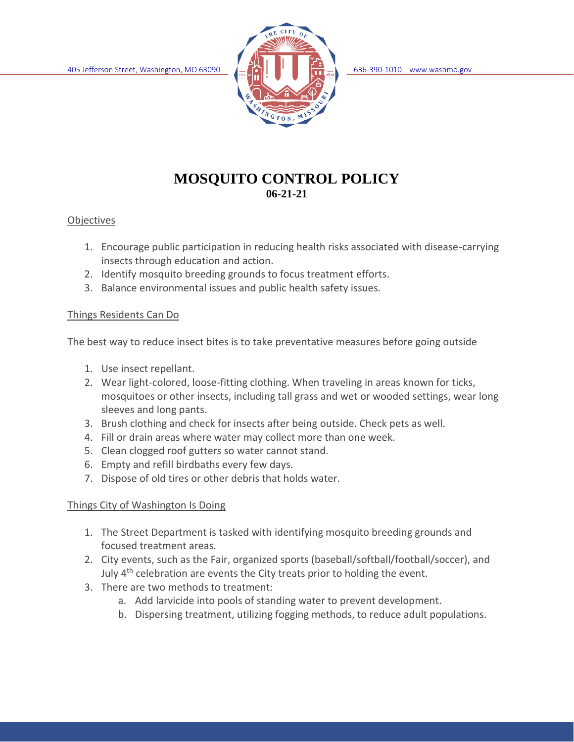

# **MOSQUITO CONTROL POLICY 06-21-21**

#### **Objectives**

- 1. Encourage public participation in reducing health risks associated with disease-carrying insects through education and action.
- 2. Identify mosquito breeding grounds to focus treatment efforts.
- 3. Balance environmental issues and public health safety issues.

#### Things Residents Can Do

The best way to reduce insect bites is to take preventative measures before going outside

- 1. Use insect repellant.
- 2. Wear light-colored, loose-fitting clothing. When traveling in areas known for ticks, mosquitoes or other insects, including tall grass and wet or wooded settings, wear long sleeves and long pants.
- 3. Brush clothing and check for insects after being outside. Check pets as well.
- 4. Fill or drain areas where water may collect more than one week.
- 5. Clean clogged roof gutters so water cannot stand.
- 6. Empty and refill birdbaths every few days.
- 7. Dispose of old tires or other debris that holds water.

#### Things City of Washington Is Doing

- 1. The Street Department is tasked with identifying mosquito breeding grounds and focused treatment areas.
- 2. City events, such as the Fair, organized sports (baseball/softball/football/soccer), and July 4<sup>th</sup> celebration are events the City treats prior to holding the event.
- 3. There are two methods to treatment:
	- a. Add larvicide into pools of standing water to prevent development.
	- b. Dispersing treatment, utilizing fogging methods, to reduce adult populations.